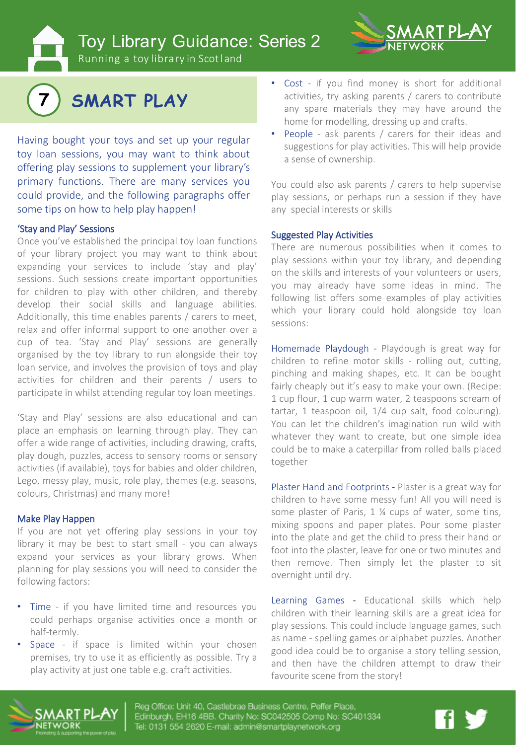Toy Library Guidance: Series 2



Running a toy library in Scotland



Having bought your toys and set up your regular toy loan sessions, you may want to think about offering play sessions to supplement your library's primary functions. There are many services you could provide, and the following paragraphs offer some tips on how to help play happen!

# 'Stay and Play' Sessions

Once you've established the principal toy loan functions of your library project you may want to think about expanding your services to include 'stay and play' sessions. Such sessions create important opportunities for children to play with other children, and thereby develop their social skills and language abilities. Additionally, this time enables parents / carers to meet, relax and offer informal support to one another over a cup of tea. 'Stay and Play' sessions are generally organised by the toy library to run alongside their toy loan service, and involves the provision of toys and play activities for children and their parents / users to participate in whilst attending regular toy loan meetings.

'Stay and Play' sessions are also educational and can place an emphasis on learning through play. They can offer a wide range of activities, including drawing, crafts, play dough, puzzles, access to sensory rooms or sensory activities (if available), toys for babies and older children, Lego, messy play, music, role play, themes (e.g. seasons, colours, Christmas) and many more!

#### Make Play Happen

If you are not yet offering play sessions in your toy library it may be best to start small - you can always expand your services as your library grows. When planning for play sessions you will need to consider the following factors:

- Time if you have limited time and resources you could perhaps organise activities once a month or half-termly.
- Space if space is limited within your chosen premises, try to use it as efficiently as possible. Try a play activity at just one table e.g. craft activities.
- Cost if you find money is short for additional activities, try asking parents / carers to contribute any spare materials they may have around the home for modelling, dressing up and crafts.
- People ask parents / carers for their ideas and suggestions for play activities. This will help provide a sense of ownership.

You could also ask parents / carers to help supervise play sessions, or perhaps run a session if they have any special interests or skills

### Suggested Play Activities

There are numerous possibilities when it comes to play sessions within your toy library, and depending on the skills and interests of your volunteers or users, you may already have some ideas in mind. The following list offers some examples of play activities which your library could hold alongside toy loan sessions:

Homemade Playdough - Playdough is great way for children to refine motor skills - rolling out, cutting, pinching and making shapes, etc. It can be bought fairly cheaply but it's easy to make your own. (Recipe: 1 cup flour, 1 cup warm water, 2 teaspoons scream of tartar, 1 teaspoon oil, 1/4 cup salt, food colouring). You can let the children's imagination run wild with whatever they want to create, but one simple idea could be to make a caterpillar from rolled balls placed together

Plaster Hand and Footprints - Plaster is a great way for children to have some messy fun! All you will need is some plaster of Paris, 1 <sup>1</sup>/<sub>4</sub> cups of water, some tins, mixing spoons and paper plates. Pour some plaster into the plate and get the child to press their hand or foot into the plaster, leave for one or two minutes and then remove. Then simply let the plaster to sit overnight until dry.

Learning Games - Educational skills which help children with their learning skills are a great idea for play sessions. This could include language games, such as name - spelling games or alphabet puzzles. Another good idea could be to organise a story telling session, and then have the children attempt to draw their favourite scene from the story!



Reg Office: Unit 40, Castlebrae Business Centre, Peffer Place, Edinburgh, EH16 4BB. Charity No: SC042505 Comp No: SC401334 Tel: 0131 554 2620 E-mail: admin@smartplaynetwork.org